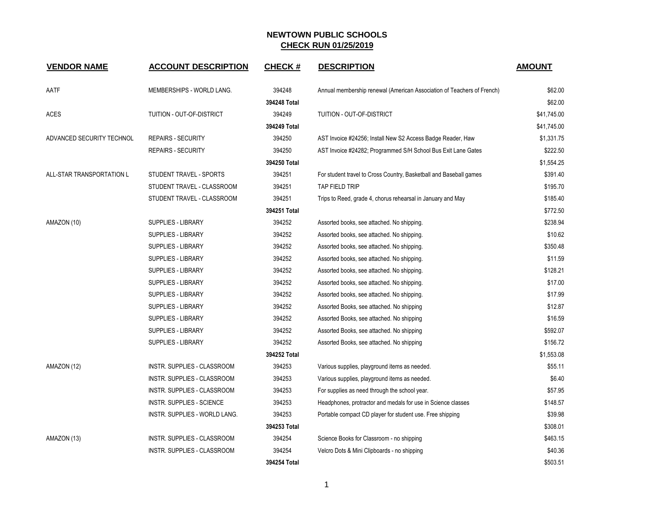| <b>VENDOR NAME</b>        | <b>ACCOUNT DESCRIPTION</b>    | <b>CHECK#</b> | <b>DESCRIPTION</b>                                                     | <b>AMOUNT</b> |
|---------------------------|-------------------------------|---------------|------------------------------------------------------------------------|---------------|
| AATF                      | MEMBERSHIPS - WORLD LANG.     | 394248        | Annual membership renewal (American Association of Teachers of French) | \$62.00       |
|                           |                               | 394248 Total  |                                                                        | \$62.00       |
| <b>ACES</b>               | TUITION - OUT-OF-DISTRICT     | 394249        | TUITION - OUT-OF-DISTRICT                                              | \$41,745.00   |
|                           |                               | 394249 Total  |                                                                        | \$41,745.00   |
| ADVANCED SECURITY TECHNOL | <b>REPAIRS - SECURITY</b>     | 394250        | AST Invoice #24256; Install New S2 Access Badge Reader, Haw            | \$1,331.75    |
|                           | <b>REPAIRS - SECURITY</b>     | 394250        | AST Invoice #24282; Programmed S/H School Bus Exit Lane Gates          | \$222.50      |
|                           |                               | 394250 Total  |                                                                        | \$1,554.25    |
| ALL-STAR TRANSPORTATION L | STUDENT TRAVEL - SPORTS       | 394251        | For student travel to Cross Country, Basketball and Baseball games     | \$391.40      |
|                           | STUDENT TRAVEL - CLASSROOM    | 394251        | TAP FIELD TRIP                                                         | \$195.70      |
|                           | STUDENT TRAVEL - CLASSROOM    | 394251        | Trips to Reed, grade 4, chorus rehearsal in January and May            | \$185.40      |
|                           |                               | 394251 Total  |                                                                        | \$772.50      |
| AMAZON (10)               | <b>SUPPLIES - LIBRARY</b>     | 394252        | Assorted books, see attached. No shipping.                             | \$238.94      |
|                           | <b>SUPPLIES - LIBRARY</b>     | 394252        | Assorted books, see attached. No shipping.                             | \$10.62       |
|                           | <b>SUPPLIES - LIBRARY</b>     | 394252        | Assorted books, see attached. No shipping.                             | \$350.48      |
|                           | <b>SUPPLIES - LIBRARY</b>     | 394252        | Assorted books, see attached. No shipping.                             | \$11.59       |
|                           | <b>SUPPLIES - LIBRARY</b>     | 394252        | Assorted books, see attached. No shipping.                             | \$128.21      |
|                           | <b>SUPPLIES - LIBRARY</b>     | 394252        | Assorted books, see attached. No shipping.                             | \$17.00       |
|                           | <b>SUPPLIES - LIBRARY</b>     | 394252        | Assorted books, see attached. No shipping.                             | \$17.99       |
|                           | <b>SUPPLIES - LIBRARY</b>     | 394252        | Assorted Books, see attached. No shipping                              | \$12.87       |
|                           | <b>SUPPLIES - LIBRARY</b>     | 394252        | Assorted Books, see attached. No shipping                              | \$16.59       |
|                           | <b>SUPPLIES - LIBRARY</b>     | 394252        | Assorted Books, see attached. No shipping                              | \$592.07      |
|                           | <b>SUPPLIES - LIBRARY</b>     | 394252        | Assorted Books, see attached. No shipping                              | \$156.72      |
|                           |                               | 394252 Total  |                                                                        | \$1,553.08    |
| AMAZON (12)               | INSTR. SUPPLIES - CLASSROOM   | 394253        | Various supplies, playground items as needed.                          | \$55.11       |
|                           | INSTR. SUPPLIES - CLASSROOM   | 394253        | Various supplies, playground items as needed.                          | \$6.40        |
|                           | INSTR. SUPPLIES - CLASSROOM   | 394253        | For supplies as need through the school year.                          | \$57.95       |
|                           | INSTR. SUPPLIES - SCIENCE     | 394253        | Headphones, protractor and medals for use in Science classes           | \$148.57      |
|                           | INSTR. SUPPLIES - WORLD LANG. | 394253        | Portable compact CD player for student use. Free shipping              | \$39.98       |
|                           |                               | 394253 Total  |                                                                        | \$308.01      |
| AMAZON (13)               | INSTR. SUPPLIES - CLASSROOM   | 394254        | Science Books for Classroom - no shipping                              | \$463.15      |
|                           | INSTR. SUPPLIES - CLASSROOM   | 394254        | Velcro Dots & Mini Clipboards - no shipping                            | \$40.36       |
|                           |                               | 394254 Total  |                                                                        | \$503.51      |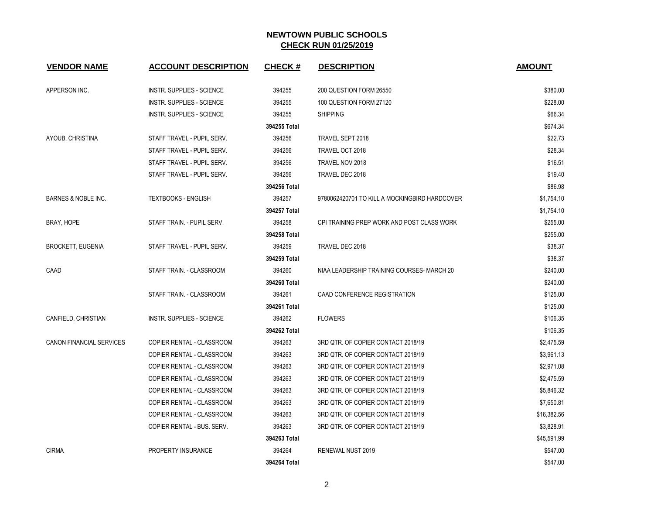| <b>VENDOR NAME</b>              | <b>ACCOUNT DESCRIPTION</b>       | <b>CHECK#</b> | <b>DESCRIPTION</b>                            | <b>AMOUNT</b> |
|---------------------------------|----------------------------------|---------------|-----------------------------------------------|---------------|
| APPERSON INC.                   | <b>INSTR. SUPPLIES - SCIENCE</b> | 394255        | 200 QUESTION FORM 26550                       | \$380.00      |
|                                 | <b>INSTR. SUPPLIES - SCIENCE</b> | 394255        | 100 QUESTION FORM 27120                       | \$228.00      |
|                                 | <b>INSTR. SUPPLIES - SCIENCE</b> | 394255        | <b>SHIPPING</b>                               | \$66.34       |
|                                 |                                  | 394255 Total  |                                               | \$674.34      |
| AYOUB, CHRISTINA                | STAFF TRAVEL - PUPIL SERV.       | 394256        | TRAVEL SEPT 2018                              | \$22.73       |
|                                 | STAFF TRAVEL - PUPIL SERV.       | 394256        | TRAVEL OCT 2018                               | \$28.34       |
|                                 | STAFF TRAVEL - PUPIL SERV.       | 394256        | TRAVEL NOV 2018                               | \$16.51       |
|                                 | STAFF TRAVEL - PUPIL SERV.       | 394256        | TRAVEL DEC 2018                               | \$19.40       |
|                                 |                                  | 394256 Total  |                                               | \$86.98       |
| <b>BARNES &amp; NOBLE INC.</b>  | <b>TEXTBOOKS - ENGLISH</b>       | 394257        | 9780062420701 TO KILL A MOCKINGBIRD HARDCOVER | \$1,754.10    |
|                                 |                                  | 394257 Total  |                                               | \$1,754.10    |
| BRAY, HOPE                      | STAFF TRAIN. - PUPIL SERV.       | 394258        | CPI TRAINING PREP WORK AND POST CLASS WORK    | \$255.00      |
|                                 |                                  | 394258 Total  |                                               | \$255.00      |
| <b>BROCKETT, EUGENIA</b>        | STAFF TRAVEL - PUPIL SERV.       | 394259        | TRAVEL DEC 2018                               | \$38.37       |
|                                 |                                  | 394259 Total  |                                               | \$38.37       |
| CAAD                            | STAFF TRAIN. - CLASSROOM         | 394260        | NIAA LEADERSHIP TRAINING COURSES- MARCH 20    | \$240.00      |
|                                 |                                  | 394260 Total  |                                               | \$240.00      |
|                                 | STAFF TRAIN. - CLASSROOM         | 394261        | CAAD CONFERENCE REGISTRATION                  | \$125.00      |
|                                 |                                  | 394261 Total  |                                               | \$125.00      |
| CANFIELD, CHRISTIAN             | <b>INSTR. SUPPLIES - SCIENCE</b> | 394262        | <b>FLOWERS</b>                                | \$106.35      |
|                                 |                                  | 394262 Total  |                                               | \$106.35      |
| <b>CANON FINANCIAL SERVICES</b> | COPIER RENTAL - CLASSROOM        | 394263        | 3RD QTR. OF COPIER CONTACT 2018/19            | \$2,475.59    |
|                                 | COPIER RENTAL - CLASSROOM        | 394263        | 3RD QTR. OF COPIER CONTACT 2018/19            | \$3,961.13    |
|                                 | <b>COPIER RENTAL - CLASSROOM</b> | 394263        | 3RD QTR. OF COPIER CONTACT 2018/19            | \$2,971.08    |
|                                 | <b>COPIER RENTAL - CLASSROOM</b> | 394263        | 3RD QTR. OF COPIER CONTACT 2018/19            | \$2,475.59    |
|                                 | COPIER RENTAL - CLASSROOM        | 394263        | 3RD QTR. OF COPIER CONTACT 2018/19            | \$5,846.32    |
|                                 | COPIER RENTAL - CLASSROOM        | 394263        | 3RD QTR. OF COPIER CONTACT 2018/19            | \$7,650.81    |
|                                 | COPIER RENTAL - CLASSROOM        | 394263        | 3RD QTR. OF COPIER CONTACT 2018/19            | \$16,382.56   |
|                                 | COPIER RENTAL - BUS. SERV.       | 394263        | 3RD QTR. OF COPIER CONTACT 2018/19            | \$3,828.91    |
|                                 |                                  | 394263 Total  |                                               | \$45,591.99   |
| <b>CIRMA</b>                    | PROPERTY INSURANCE               | 394264        | RENEWAL NUST 2019                             | \$547.00      |
|                                 |                                  | 394264 Total  |                                               | \$547.00      |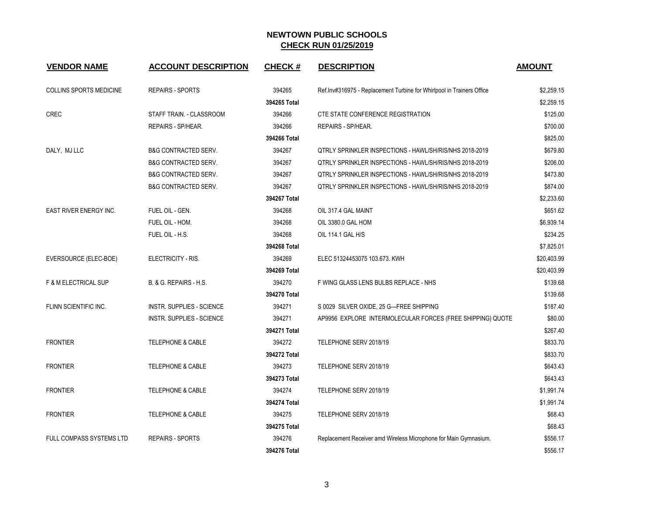| <b>VENDOR NAME</b>             | <b>ACCOUNT DESCRIPTION</b>       | <b>CHECK#</b> | <b>DESCRIPTION</b>                                                    | <b>AMOUNT</b> |
|--------------------------------|----------------------------------|---------------|-----------------------------------------------------------------------|---------------|
| <b>COLLINS SPORTS MEDICINE</b> | <b>REPAIRS - SPORTS</b>          | 394265        | Ref.Inv#316975 - Replacement Turbine for Whirlpool in Trainers Office | \$2,259.15    |
|                                |                                  | 394265 Total  |                                                                       | \$2,259.15    |
| CREC                           | STAFF TRAIN. - CLASSROOM         | 394266        | CTE STATE CONFERENCE REGISTRATION                                     | \$125.00      |
|                                | REPAIRS - SP/HEAR.               | 394266        | REPAIRS - SP/HEAR.                                                    | \$700.00      |
|                                |                                  | 394266 Total  |                                                                       | \$825.00      |
| DALY, MJ LLC                   | <b>B&amp;G CONTRACTED SERV.</b>  | 394267        | QTRLY SPRINKLER INSPECTIONS - HAWL/SH/RIS/NHS 2018-2019               | \$679.80      |
|                                | <b>B&amp;G CONTRACTED SERV.</b>  | 394267        | <b>QTRLY SPRINKLER INSPECTIONS - HAWL/SH/RIS/NHS 2018-2019</b>        | \$206.00      |
|                                | <b>B&amp;G CONTRACTED SERV.</b>  | 394267        | <b>QTRLY SPRINKLER INSPECTIONS - HAWL/SH/RIS/NHS 2018-2019</b>        | \$473.80      |
|                                | <b>B&amp;G CONTRACTED SERV.</b>  | 394267        | QTRLY SPRINKLER INSPECTIONS - HAWL/SH/RIS/NHS 2018-2019               | \$874.00      |
|                                |                                  | 394267 Total  |                                                                       | \$2,233.60    |
| <b>EAST RIVER ENERGY INC.</b>  | FUEL OIL - GEN.                  | 394268        | OIL 317.4 GAL MAINT                                                   | \$651.62      |
|                                | FUEL OIL - HOM.                  | 394268        | OIL 3380.0 GAL HOM                                                    | \$6,939.14    |
|                                | FUEL OIL - H.S.                  | 394268        | OIL 114.1 GAL H/S                                                     | \$234.25      |
|                                |                                  | 394268 Total  |                                                                       | \$7,825.01    |
| EVERSOURCE (ELEC-BOE)          | ELECTRICITY - RIS.               | 394269        | ELEC 51324453075 103.673. KWH                                         | \$20,403.99   |
|                                |                                  | 394269 Total  |                                                                       | \$20,403.99   |
| F & M ELECTRICAL SUP           | B. & G. REPAIRS - H.S.           | 394270        | F WING GLASS LENS BULBS REPLACE - NHS                                 | \$139.68      |
|                                |                                  | 394270 Total  |                                                                       | \$139.68      |
| FLINN SCIENTIFIC INC.          | INSTR. SUPPLIES - SCIENCE        | 394271        | S 0029 SILVER OXIDE, 25 G---FREE SHIPPING                             | \$187.40      |
|                                | <b>INSTR. SUPPLIES - SCIENCE</b> | 394271        | AP9956 EXPLORE INTERMOLECULAR FORCES (FREE SHIPPING) QUOTE            | \$80.00       |
|                                |                                  | 394271 Total  |                                                                       | \$267.40      |
| <b>FRONTIER</b>                | <b>TELEPHONE &amp; CABLE</b>     | 394272        | TELEPHONE SERV 2018/19                                                | \$833.70      |
|                                |                                  | 394272 Total  |                                                                       | \$833.70      |
| <b>FRONTIER</b>                | <b>TELEPHONE &amp; CABLE</b>     | 394273        | TELEPHONE SERV 2018/19                                                | \$643.43      |
|                                |                                  | 394273 Total  |                                                                       | \$643.43      |
| <b>FRONTIER</b>                | <b>TELEPHONE &amp; CABLE</b>     | 394274        | TELEPHONE SERV 2018/19                                                | \$1,991.74    |
|                                |                                  | 394274 Total  |                                                                       | \$1,991.74    |
| <b>FRONTIER</b>                | <b>TELEPHONE &amp; CABLE</b>     | 394275        | TELEPHONE SERV 2018/19                                                | \$68.43       |
|                                |                                  | 394275 Total  |                                                                       | \$68.43       |
| FULL COMPASS SYSTEMS LTD       | <b>REPAIRS - SPORTS</b>          | 394276        | Replacement Receiver amd Wireless Microphone for Main Gymnasium.      | \$556.17      |
|                                |                                  | 394276 Total  |                                                                       | \$556.17      |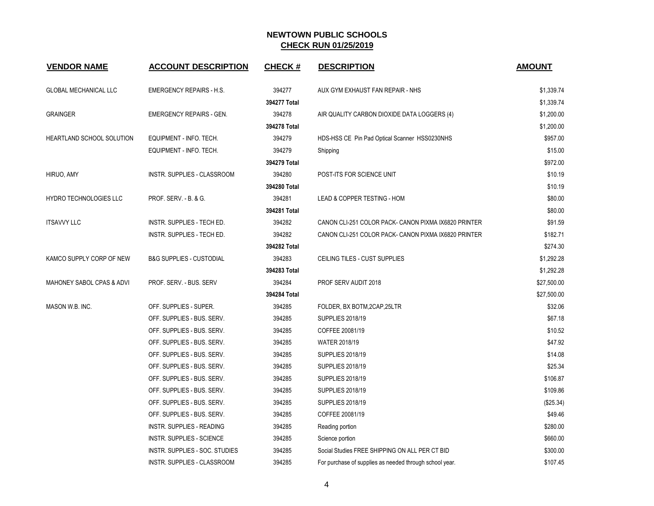| <b>VENDOR NAME</b>            | <b>ACCOUNT DESCRIPTION</b>          | <b>CHECK#</b> | <b>DESCRIPTION</b>                                      | <b>AMOUNT</b> |
|-------------------------------|-------------------------------------|---------------|---------------------------------------------------------|---------------|
| <b>GLOBAL MECHANICAL LLC</b>  | <b>EMERGENCY REPAIRS - H.S.</b>     | 394277        | AUX GYM EXHAUST FAN REPAIR - NHS                        | \$1,339.74    |
|                               |                                     | 394277 Total  |                                                         | \$1,339.74    |
| <b>GRAINGER</b>               | <b>EMERGENCY REPAIRS - GEN.</b>     | 394278        | AIR QUALITY CARBON DIOXIDE DATA LOGGERS (4)             | \$1,200.00    |
|                               |                                     | 394278 Total  |                                                         | \$1,200.00    |
| HEARTLAND SCHOOL SOLUTION     | EQUIPMENT - INFO. TECH.             | 394279        | HDS-HSS CE Pin Pad Optical Scanner HSS0230NHS           | \$957.00      |
|                               | EQUIPMENT - INFO. TECH.             | 394279        | Shipping                                                | \$15.00       |
|                               |                                     | 394279 Total  |                                                         | \$972.00      |
| HIRUO, AMY                    | INSTR. SUPPLIES - CLASSROOM         | 394280        | POST-ITS FOR SCIENCE UNIT                               | \$10.19       |
|                               |                                     | 394280 Total  |                                                         | \$10.19       |
| <b>HYDRO TECHNOLOGIES LLC</b> | PROF. SERV. - B. & G.               | 394281        | LEAD & COPPER TESTING - HOM                             | \$80.00       |
|                               |                                     | 394281 Total  |                                                         | \$80.00       |
| <b>ITSAVVY LLC</b>            | INSTR. SUPPLIES - TECH ED.          | 394282        | CANON CLI-251 COLOR PACK- CANON PIXMA IX6820 PRINTER    | \$91.59       |
|                               | INSTR. SUPPLIES - TECH ED.          | 394282        | CANON CLI-251 COLOR PACK- CANON PIXMA IX6820 PRINTER    | \$182.71      |
|                               |                                     | 394282 Total  |                                                         | \$274.30      |
| KAMCO SUPPLY CORP OF NEW      | <b>B&amp;G SUPPLIES - CUSTODIAL</b> | 394283        | CEILING TILES - CUST SUPPLIES                           | \$1,292.28    |
|                               |                                     | 394283 Total  |                                                         | \$1,292.28    |
| MAHONEY SABOL CPAS & ADVI     | PROF. SERV. - BUS. SERV             | 394284        | PROF SERV AUDIT 2018                                    | \$27,500.00   |
|                               |                                     | 394284 Total  |                                                         | \$27,500.00   |
| MASON W.B. INC.               | OFF. SUPPLIES - SUPER.              | 394285        | FOLDER, BX BOTM, 2CAP, 25LTR                            | \$32.06       |
|                               | OFF. SUPPLIES - BUS. SERV.          | 394285        | <b>SUPPLIES 2018/19</b>                                 | \$67.18       |
|                               | OFF. SUPPLIES - BUS. SERV.          | 394285        | COFFEE 20081/19                                         | \$10.52       |
|                               | OFF. SUPPLIES - BUS. SERV.          | 394285        | <b>WATER 2018/19</b>                                    | \$47.92       |
|                               | OFF. SUPPLIES - BUS. SERV.          | 394285        | <b>SUPPLIES 2018/19</b>                                 | \$14.08       |
|                               | OFF. SUPPLIES - BUS. SERV.          | 394285        | <b>SUPPLIES 2018/19</b>                                 | \$25.34       |
|                               | OFF. SUPPLIES - BUS. SERV.          | 394285        | <b>SUPPLIES 2018/19</b>                                 | \$106.87      |
|                               | OFF. SUPPLIES - BUS. SERV.          | 394285        | <b>SUPPLIES 2018/19</b>                                 | \$109.86      |
|                               | OFF. SUPPLIES - BUS. SERV.          | 394285        | <b>SUPPLIES 2018/19</b>                                 | (\$25.34)     |
|                               | OFF. SUPPLIES - BUS. SERV.          | 394285        | COFFEE 20081/19                                         | \$49.46       |
|                               | <b>INSTR. SUPPLIES - READING</b>    | 394285        | Reading portion                                         | \$280.00      |
|                               | INSTR. SUPPLIES - SCIENCE           | 394285        | Science portion                                         | \$660.00      |
|                               | INSTR. SUPPLIES - SOC. STUDIES      | 394285        | Social Studies FREE SHIPPING ON ALL PER CT BID          | \$300.00      |
|                               | INSTR. SUPPLIES - CLASSROOM         | 394285        | For purchase of supplies as needed through school year. | \$107.45      |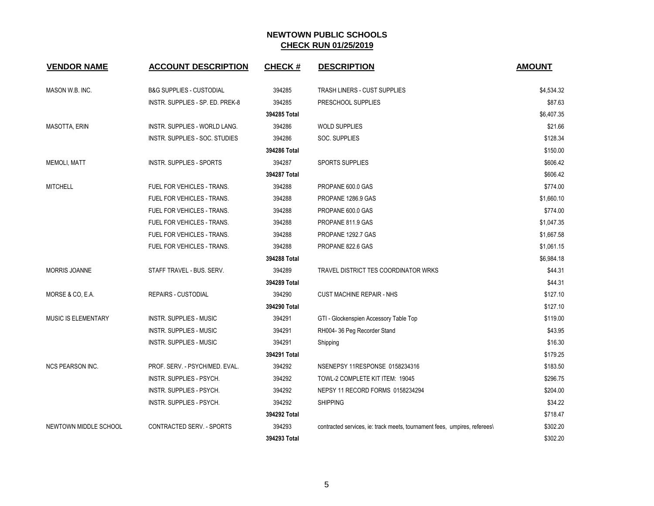| <b>VENDOR NAME</b>      | <b>ACCOUNT DESCRIPTION</b>          | <b>CHECK#</b> | <b>DESCRIPTION</b>                                                       | <b>AMOUNT</b> |
|-------------------------|-------------------------------------|---------------|--------------------------------------------------------------------------|---------------|
| MASON W.B. INC.         | <b>B&amp;G SUPPLIES - CUSTODIAL</b> | 394285        | TRASH LINERS - CUST SUPPLIES                                             | \$4,534.32    |
|                         | INSTR. SUPPLIES - SP. ED. PREK-8    | 394285        | PRESCHOOL SUPPLIES                                                       | \$87.63       |
|                         |                                     | 394285 Total  |                                                                          | \$6,407.35    |
| <b>MASOTTA, ERIN</b>    | INSTR. SUPPLIES - WORLD LANG.       | 394286        | <b>WOLD SUPPLIES</b>                                                     | \$21.66       |
|                         | INSTR. SUPPLIES - SOC. STUDIES      | 394286        | SOC. SUPPLIES                                                            | \$128.34      |
|                         |                                     | 394286 Total  |                                                                          | \$150.00      |
| <b>MEMOLI, MATT</b>     | INSTR. SUPPLIES - SPORTS            | 394287        | <b>SPORTS SUPPLIES</b>                                                   | \$606.42      |
|                         |                                     | 394287 Total  |                                                                          | \$606.42      |
| <b>MITCHELL</b>         | FUEL FOR VEHICLES - TRANS.          | 394288        | PROPANE 600.0 GAS                                                        | \$774.00      |
|                         | <b>FUEL FOR VEHICLES - TRANS.</b>   | 394288        | PROPANE 1286.9 GAS                                                       | \$1,660.10    |
|                         | FUEL FOR VEHICLES - TRANS.          | 394288        | PROPANE 600.0 GAS                                                        | \$774.00      |
|                         | FUEL FOR VEHICLES - TRANS.          | 394288        | PROPANE 811.9 GAS                                                        | \$1,047.35    |
|                         | FUEL FOR VEHICLES - TRANS.          | 394288        | PROPANE 1292.7 GAS                                                       | \$1,667.58    |
|                         | FUEL FOR VEHICLES - TRANS.          | 394288        | PROPANE 822.6 GAS                                                        | \$1,061.15    |
|                         |                                     | 394288 Total  |                                                                          | \$6,984.18    |
| <b>MORRIS JOANNE</b>    | STAFF TRAVEL - BUS. SERV.           | 394289        | TRAVEL DISTRICT TES COORDINATOR WRKS                                     | \$44.31       |
|                         |                                     | 394289 Total  |                                                                          | \$44.31       |
| MORSE & CO, E.A.        | <b>REPAIRS - CUSTODIAL</b>          | 394290        | <b>CUST MACHINE REPAIR - NHS</b>                                         | \$127.10      |
|                         |                                     | 394290 Total  |                                                                          | \$127.10      |
| MUSIC IS ELEMENTARY     | <b>INSTR. SUPPLIES - MUSIC</b>      | 394291        | GTI - Glockenspien Accessory Table Top                                   | \$119.00      |
|                         | <b>INSTR. SUPPLIES - MUSIC</b>      | 394291        | RH004-36 Peg Recorder Stand                                              | \$43.95       |
|                         | <b>INSTR. SUPPLIES - MUSIC</b>      | 394291        | Shipping                                                                 | \$16.30       |
|                         |                                     | 394291 Total  |                                                                          | \$179.25      |
| <b>NCS PEARSON INC.</b> | PROF. SERV. - PSYCH/MED. EVAL.      | 394292        | NSENEPSY 11RESPONSE 0158234316                                           | \$183.50      |
|                         | INSTR. SUPPLIES - PSYCH.            | 394292        | TOWL-2 COMPLETE KIT ITEM: 19045                                          | \$296.75      |
|                         | INSTR. SUPPLIES - PSYCH.            | 394292        | NEPSY 11 RECORD FORMS 0158234294                                         | \$204.00      |
|                         | INSTR. SUPPLIES - PSYCH.            | 394292        | <b>SHIPPING</b>                                                          | \$34.22       |
|                         |                                     | 394292 Total  |                                                                          | \$718.47      |
| NEWTOWN MIDDLE SCHOOL   | <b>CONTRACTED SERV. - SPORTS</b>    | 394293        | contracted services, ie: track meets, tournament fees, umpires, referees | \$302.20      |
|                         |                                     | 394293 Total  |                                                                          | \$302.20      |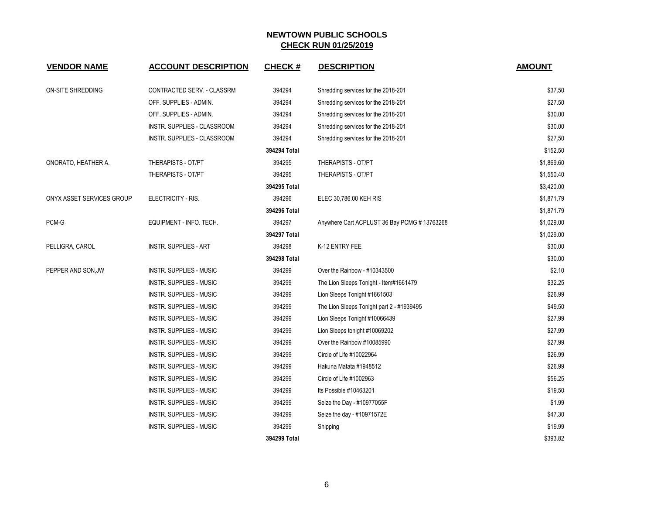| <b>VENDOR NAME</b>        | <b>ACCOUNT DESCRIPTION</b>     | <b>CHECK#</b> | <b>DESCRIPTION</b>                          | <b>AMOUNT</b> |
|---------------------------|--------------------------------|---------------|---------------------------------------------|---------------|
| ON-SITE SHREDDING         | CONTRACTED SERV. - CLASSRM     | 394294        | Shredding services for the 2018-201         | \$37.50       |
|                           | OFF. SUPPLIES - ADMIN.         | 394294        | Shredding services for the 2018-201         | \$27.50       |
|                           | OFF. SUPPLIES - ADMIN.         | 394294        | Shredding services for the 2018-201         | \$30.00       |
|                           | INSTR. SUPPLIES - CLASSROOM    | 394294        | Shredding services for the 2018-201         | \$30.00       |
|                           | INSTR. SUPPLIES - CLASSROOM    | 394294        | Shredding services for the 2018-201         | \$27.50       |
|                           |                                | 394294 Total  |                                             | \$152.50      |
| ONORATO, HEATHER A.       | THERAPISTS - OT/PT             | 394295        | THERAPISTS - OT/PT                          | \$1,869.60    |
|                           | THERAPISTS - OT/PT             | 394295        | THERAPISTS - OT/PT                          | \$1,550.40    |
|                           |                                | 394295 Total  |                                             | \$3,420.00    |
| ONYX ASSET SERVICES GROUP | ELECTRICITY - RIS.             | 394296        | ELEC 30,786.00 KEH RIS                      | \$1,871.79    |
|                           |                                | 394296 Total  |                                             | \$1,871.79    |
| PCM-G                     | EQUIPMENT - INFO. TECH.        | 394297        | Anywhere Cart ACPLUST 36 Bay PCMG #13763268 | \$1,029.00    |
|                           |                                | 394297 Total  |                                             | \$1,029.00    |
| PELLIGRA, CAROL           | <b>INSTR. SUPPLIES - ART</b>   | 394298        | K-12 ENTRY FEE                              | \$30.00       |
|                           |                                | 394298 Total  |                                             | \$30.00       |
| PEPPER AND SON, JW        | <b>INSTR. SUPPLIES - MUSIC</b> | 394299        | Over the Rainbow - #10343500                | \$2.10        |
|                           | INSTR. SUPPLIES - MUSIC        | 394299        | The Lion Sleeps Tonight - Item#1661479      | \$32.25       |
|                           | INSTR. SUPPLIES - MUSIC        | 394299        | Lion Sleeps Tonight #1661503                | \$26.99       |
|                           | INSTR. SUPPLIES - MUSIC        | 394299        | The Lion Sleeps Tonight part 2 - #1939495   | \$49.50       |
|                           | <b>INSTR. SUPPLIES - MUSIC</b> | 394299        | Lion Sleeps Tonight #10066439               | \$27.99       |
|                           | INSTR. SUPPLIES - MUSIC        | 394299        | Lion Sleeps tonight #10069202               | \$27.99       |
|                           | INSTR. SUPPLIES - MUSIC        | 394299        | Over the Rainbow #10085990                  | \$27.99       |
|                           | <b>INSTR. SUPPLIES - MUSIC</b> | 394299        | Circle of Life #10022964                    | \$26.99       |
|                           | INSTR. SUPPLIES - MUSIC        | 394299        | Hakuna Matata #1948512                      | \$26.99       |
|                           | INSTR. SUPPLIES - MUSIC        | 394299        | Circle of Life #1002963                     | \$56.25       |
|                           | INSTR. SUPPLIES - MUSIC        | 394299        | Its Possible #10463201                      | \$19.50       |
|                           | INSTR. SUPPLIES - MUSIC        | 394299        | Seize the Day - #10977055F                  | \$1.99        |
|                           | INSTR. SUPPLIES - MUSIC        | 394299        | Seize the day - #10971572E                  | \$47.30       |
|                           | <b>INSTR. SUPPLIES - MUSIC</b> | 394299        | Shipping                                    | \$19.99       |
|                           |                                | 394299 Total  |                                             | \$393.82      |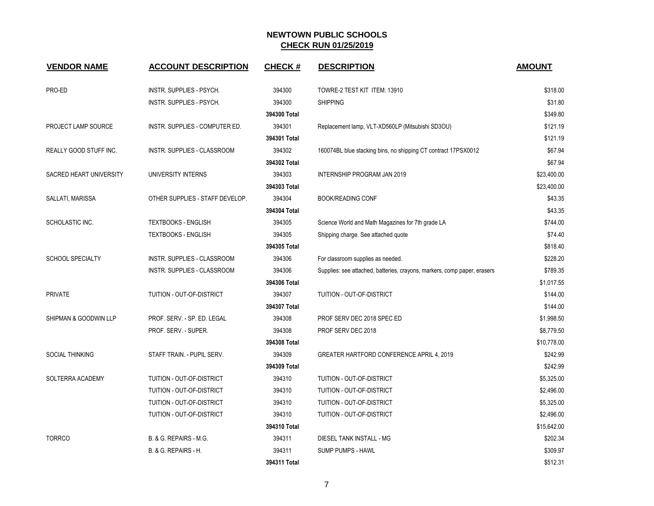| <b>VENDOR NAME</b>      | <b>ACCOUNT DESCRIPTION</b>      | <b>CHECK#</b> | <b>DESCRIPTION</b>                                                       | <b>AMOUNT</b> |
|-------------------------|---------------------------------|---------------|--------------------------------------------------------------------------|---------------|
| PRO-ED                  | INSTR. SUPPLIES - PSYCH.        | 394300        | TOWRE-2 TEST KIT ITEM: 13910                                             | \$318.00      |
|                         | INSTR. SUPPLIES - PSYCH.        | 394300        | <b>SHIPPING</b>                                                          | \$31.80       |
|                         |                                 | 394300 Total  |                                                                          | \$349.80      |
| PROJECT LAMP SOURCE     | INSTR. SUPPLIES - COMPUTER ED.  | 394301        | Replacement lamp, VLT-XD560LP (Mitsubishi SD3OU)                         | \$121.19      |
|                         |                                 | 394301 Total  |                                                                          | \$121.19      |
| REALLY GOOD STUFF INC.  | INSTR. SUPPLIES - CLASSROOM     | 394302        | 160074BL blue stacking bins, no shipping CT contract 17PSX0012           | \$67.94       |
|                         |                                 | 394302 Total  |                                                                          | \$67.94       |
| SACRED HEART UNIVERSITY | UNIVERSITY INTERNS              | 394303        | <b>INTERNSHIP PROGRAM JAN 2019</b>                                       | \$23,400.00   |
|                         |                                 | 394303 Total  |                                                                          | \$23,400.00   |
| SALLATI, MARISSA        | OTHER SUPPLIES - STAFF DEVELOP. | 394304        | <b>BOOK/READING CONF</b>                                                 | \$43.35       |
|                         |                                 | 394304 Total  |                                                                          | \$43.35       |
| SCHOLASTIC INC.         | <b>TEXTBOOKS - ENGLISH</b>      | 394305        | Science World and Math Magazines for 7th grade LA                        | \$744.00      |
|                         | <b>TEXTBOOKS - ENGLISH</b>      | 394305        | Shipping charge. See attached quote                                      | \$74.40       |
|                         |                                 | 394305 Total  |                                                                          | \$818.40      |
| <b>SCHOOL SPECIALTY</b> | INSTR. SUPPLIES - CLASSROOM     | 394306        | For classroom supplies as needed.                                        | \$228.20      |
|                         | INSTR. SUPPLIES - CLASSROOM     | 394306        | Supplies: see attached, batteries, crayons, markers, comp paper, erasers | \$789.35      |
|                         |                                 | 394306 Total  |                                                                          | \$1,017.55    |
| <b>PRIVATE</b>          | TUITION - OUT-OF-DISTRICT       | 394307        | TUITION - OUT-OF-DISTRICT                                                | \$144.00      |
|                         |                                 | 394307 Total  |                                                                          | \$144.00      |
| SHIPMAN & GOODWIN LLP   | PROF. SERV. - SP. ED. LEGAL     | 394308        | PROF SERV DEC 2018 SPEC ED                                               | \$1,998.50    |
|                         | PROF. SERV. - SUPER.            | 394308        | PROF SERV DEC 2018                                                       | \$8,779.50    |
|                         |                                 | 394308 Total  |                                                                          | \$10,778.00   |
| <b>SOCIAL THINKING</b>  | STAFF TRAIN. - PUPIL SERV.      | 394309        | GREATER HARTFORD CONFERENCE APRIL 4, 2019                                | \$242.99      |
|                         |                                 | 394309 Total  |                                                                          | \$242.99      |
| SOLTERRA ACADEMY        | TUITION - OUT-OF-DISTRICT       | 394310        | TUITION - OUT-OF-DISTRICT                                                | \$5,325.00    |
|                         | TUITION - OUT-OF-DISTRICT       | 394310        | TUITION - OUT-OF-DISTRICT                                                | \$2,496.00    |
|                         | TUITION - OUT-OF-DISTRICT       | 394310        | TUITION - OUT-OF-DISTRICT                                                | \$5,325.00    |
|                         | TUITION - OUT-OF-DISTRICT       | 394310        | TUITION - OUT-OF-DISTRICT                                                | \$2,496.00    |
|                         |                                 | 394310 Total  |                                                                          | \$15,642.00   |
| <b>TORRCO</b>           | B. & G. REPAIRS - M.G.          | 394311        | DIESEL TANK INSTALL - MG                                                 | \$202.34      |
|                         | B. & G. REPAIRS - H.            | 394311        | <b>SUMP PUMPS - HAWL</b>                                                 | \$309.97      |
|                         |                                 | 394311 Total  |                                                                          | \$512.31      |